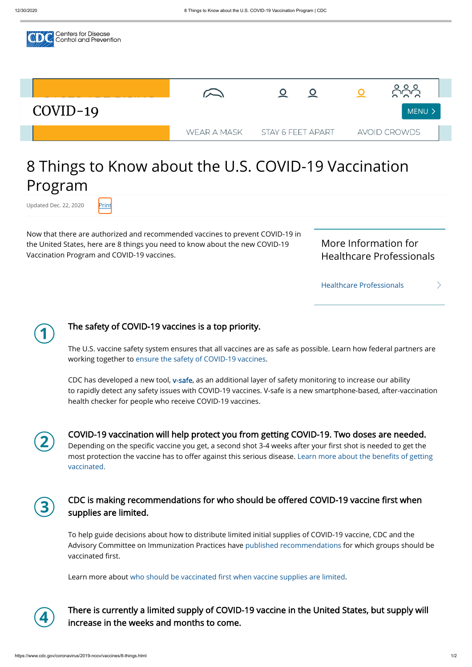

# 8 Things to Know about the U.S. COVID-19 Vaccination Program

Updated Dec. 22, 2020 Print

Now that there are authorized and recommended vaccines to prevent COVID-19 in the United States, here are 8 things you need to know about the new COVID-19 Vaccination Program and COVID-19 vaccines.

[Healthcare Professionals](https://www.cdc.gov/vaccines/covid-19/index.html)

 $\bigcirc$ 

More Information for Healthcare Professionals

 $\left\langle \right\rangle$ 

CDC has developed a new tool, [v-safe,](https://www.cdc.gov/coronavirus/2019-ncov/vaccines/safety/vsafe.html) as an additional layer of safety monitoring to increase our ability to rapidly detect any safety issues with COVID-19 vaccines. V-safe is a new smartphone-based, after-vaccination health checker for people who receive COVID-19 vaccines.

 $\odot$ 

## The safety of COVID-19 vaccines is a top priority.

The U.S. vaccine safety system ensures that all vaccines are as safe as possible. Learn how federal partners are working together to [ensure the safety of COVID-19 vaccines](https://www.cdc.gov/coronavirus/2019-ncov/vaccines/safety.html).

To help guide decisions about how to distribute limited initial supplies of COVID-19 vaccine, CDC and the Advisory Committee on Immunization Practices have [published recommendations](https://www.cdc.gov/vaccines/hcp/acip-recs/vacc-specific/covid-19.html) for which groups should be vaccinated first.

Learn more about who should be vaccinated first when vaccine supplies are limited.

COVID-19 vaccination will help protect you from getting COVID-19. Two doses are needed. Depending on the specific vaccine you get, a second shot 3-4 weeks after your first shot is needed to get the most protection the vaccine has to offer against this serious disease. Learn more about the benefits of getting vaccinated.

CDC is making recommendations for who should be offered COVID-19 vaccine first when





There is currently a limited supply of COVID-19 vaccine in the United States, but supply will increase in the weeks and months to come.